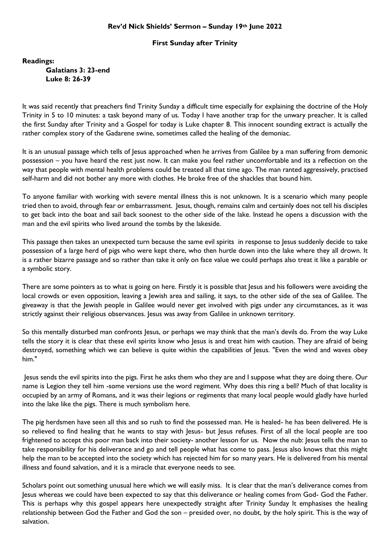## **Rev'd Nick Shields' Sermon – Sunday 19th June 2022**

## **First Sunday after Trinity**

**Readings: Galatians 3: 23-end Luke 8: 26-39**

It was said recently that preachers find Trinity Sunday a difficult time especially for explaining the doctrine of the Holy Trinity in 5 to 10 minutes: a task beyond many of us. Today I have another trap for the unwary preacher. It is called the first Sunday after Trinity and a Gospel for today is Luke chapter 8. This innocent sounding extract is actually the rather complex story of the Gadarene swine, sometimes called the healing of the demoniac.

It is an unusual passage which tells of Jesus approached when he arrives from Galilee by a man suffering from demonic possession – you have heard the rest just now. It can make you feel rather uncomfortable and its a reflection on the way that people with mental health problems could be treated all that time ago. The man ranted aggressively, practised self-harm and did not bother any more with clothes. He broke free of the shackles that bound him.

To anyone familiar with working with severe mental illness this is not unknown. It is a scenario which many people tried then to avoid, through fear or embarrassment. Jesus, though, remains calm and certainly does not tell his disciples to get back into the boat and sail back soonest to the other side of the lake. Instead he opens a discussion with the man and the evil spirits who lived around the tombs by the lakeside.

This passage then takes an unexpected turn because the same evil spirits in response to Jesus suddenly decide to take possession of a large herd of pigs who were kept there, who then hurtle down into the lake where they all drown. It is a rather bizarre passage and so rather than take it only on face value we could perhaps also treat it like a parable or a symbolic story.

There are some pointers as to what is going on here. Firstly it is possible that Jesus and his followers were avoiding the local crowds or even opposition, leaving a Jewish area and sailing, it says, to the other side of the sea of Galilee. The giveaway is that the Jewish people in Galilee would never get involved with pigs under any circumstances, as it was strictly against their religious observances. Jesus was away from Galilee in unknown territory.

So this mentally disturbed man confronts Jesus, or perhaps we may think that the man's devils do. From the way Luke tells the story it is clear that these evil spirits know who Jesus is and treat him with caution. They are afraid of being destroyed, something which we can believe is quite within the capabilities of Jesus. "Even the wind and waves obey him."

Jesus sends the evil spirits into the pigs. First he asks them who they are and I suppose what they are doing there. Our name is Legion they tell him -some versions use the word regiment. Why does this ring a bell? Much of that locality is occupied by an army of Romans, and it was their legions or regiments that many local people would gladly have hurled into the lake like the pigs. There is much symbolism here.

The pig herdsmen have seen all this and so rush to find the possessed man. He is healed- he has been delivered. He is so relieved to find healing that he wants to stay with Jesus- but Jesus refuses. First of all the local people are too frightened to accept this poor man back into their society- another lesson for us. Now the nub: Jesus tells the man to take responsibility for his deliverance and go and tell people what has come to pass. Jesus also knows that this might help the man to be accepted into the society which has rejected him for so many years. He is delivered from his mental illness and found salvation, and it is a miracle that everyone needs to see.

Scholars point out something unusual here which we will easily miss. It is clear that the man's deliverance comes from Jesus whereas we could have been expected to say that this deliverance or healing comes from God- God the Father. This is perhaps why this gospel appears here unexpectedly straight after Trinity Sunday It emphasises the healing relationship between God the Father and God the son – presided over, no doubt, by the holy spirit. This is the way of salvation.